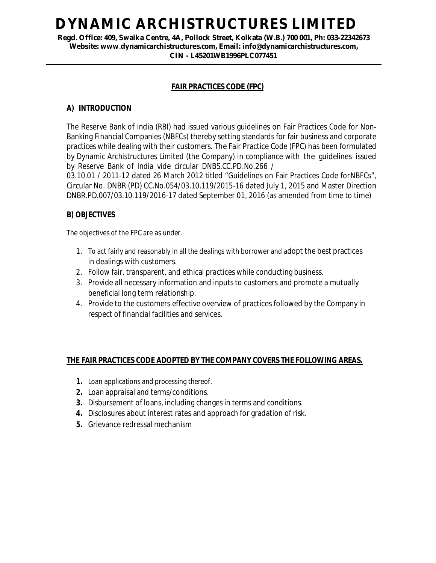# **DYNAMIC ARCHISTRUCTURES LIMITED**

**Regd. Office: 409, Swaika Centre, 4A, Pollock Street, Kolkata (W.B.) 700 001, Ph: 033-22342673 Website: www**.**dynamicarchistructures.com, Email: info@dynamicarchistructures.com, CIN - L45201WB1996PLC077451**

### **FAIR PRACTICES CODE (FPC)**

#### **A) INTRODUCTION**

The Reserve Bank of India (RBI) had issued various guidelines on Fair Practices Code for Non-Banking Financial Companies (NBFCs) thereby setting standards for fair business and corporate practices while dealing with their customers. The Fair Practice Code (FPC) has been formulated by Dynamic Archistructures Limited (the Company) in compliance with the guidelines issued by Reserve Bank of India vide circular DNBS.CC.PD.No.266 /

03.10.01 / 2011-12 dated 26 March 2012 titled "Guidelines on Fair Practices Code forNBFCs", Circular No. DNBR (PD) CC.No.054/03.10.119/2015-16 dated July 1, 2015 and Master Direction DNBR.PD.007/03.10.119/2016-17 dated September 01, 2016 (as amended from time to time)

#### **B) OBJECTIVES**

The objectives of the FPC are as under.

- 1. To act fairly and reasonably in all the dealings with borrower and adopt the best practices in dealings with customers.
- 2. Follow fair, transparent, and ethical practices while conducting business.
- 3. Provide all necessary information and inputs to customers and promote a mutually beneficial long term relationship.
- 4. Provide to the customers effective overview of practices followed by the Company in respect of financial facilities and services.

#### **THE FAIR PRACTICES CODE ADOPTED BY THE COMPANY COVERS THE FOLLOWING AREAS.**

- **1.** Loan applications and processing thereof.
- **2.** Loan appraisal and terms/conditions.
- **3.** Disbursement of loans, including changes in terms and conditions.
- **4.** Disclosures about interest rates and approach for gradation of risk.
- **5.** Grievance redressal mechanism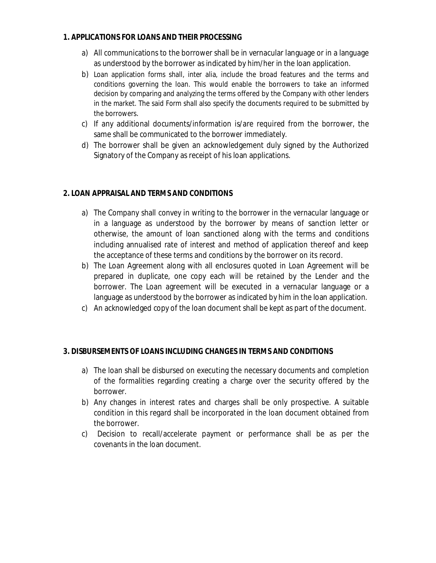#### **1. APPLICATIONS FOR LOANS AND THEIR PROCESSING**

- a) All communications to the borrower shall be in vernacular language or in a language as understood by the borrower as indicated by him/her in the loan application.
- b) Loan application forms shall, inter alia, include the broad features and the terms and conditions governing the loan. This would enable the borrowers to take an informed decision by comparing and analyzing the terms offered by the Company with other lenders in the market. The said Form shall also specify the documents required to be submitted by the borrowers.
- c) If any additional documents/information is/are required from the borrower, the same shall be communicated to the borrower immediately.
- d) The borrower shall be given an acknowledgement duly signed by the Authorized Signatory of the Company as receipt of his loan applications.

# **2. LOAN APPRAISAL AND TERMS AND CONDITIONS**

- a) The Company shall convey in writing to the borrower in the vernacular language or in a language as understood by the borrower by means of sanction letter or otherwise, the amount of loan sanctioned along with the terms and conditions including annualised rate of interest and method of application thereof and keep the acceptance of these terms and conditions by the borrower on its record.
- b) The Loan Agreement along with all enclosures quoted in Loan Agreement will be prepared in duplicate, one copy each will be retained by the Lender and the borrower. The Loan agreement will be executed in a vernacular language or a language as understood by the borrower as indicated by him in the loan application.
- c) An acknowledged copy of the loan document shall be kept as part of the document.

# **3. DISBURSEMENTS OF LOANS INCLUDING CHANGES IN TERMS AND CONDITIONS**

- a) The loan shall be disbursed on executing the necessary documents and completion of the formalities regarding creating a charge over the security offered by the borrower.
- b) Any changes in interest rates and charges shall be only prospective. A suitable condition in this regard shall be incorporated in the loan document obtained from the borrower.
- c) Decision to recall/accelerate payment or performance shall be as per the covenants in the loan document.